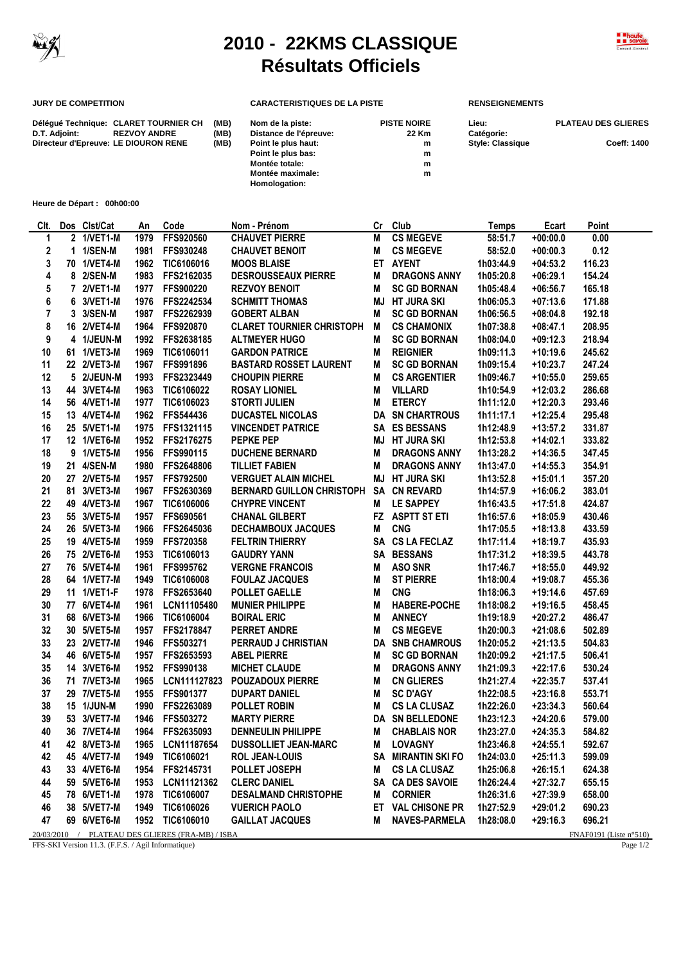

## **2010 - 22KMS CLASSIQUE Résultats Officiels**



## **JURY DE COMPETITION CARACTERISTIQUES DE LA PISTE RENSEIGNEMENTS**

**Homologation:**

|               | Déléqué Technique: CLARET TOURNIER CH | (MB) | Nom de la piste:       | <b>PISTE NOIRE</b> | Lieu:                   | <b>PLATEAU DES GLIERES</b> |
|---------------|---------------------------------------|------|------------------------|--------------------|-------------------------|----------------------------|
| D.T. Adjoint: | <b>REZVOY ANDRE</b>                   | (MB) | Distance de l'épreuve: | 22 Km              | Catégorie:              |                            |
|               | Directeur d'Epreuve: LE DIOURON RENE  | (MB) | Point le plus haut:    | m                  | <b>Style: Classique</b> | Coeff: 1400                |
|               |                                       |      | Point le plus bas:     | m                  |                         |                            |
|               |                                       |      | Montée totale:         | m                  |                         |                            |
|               |                                       |      | Montée maximale:       | m                  |                         |                            |

**Heure de Départ : 00h00:00**

| CIt. | Dos Clst/Cat | An   | Code                                             | Nom - Prénom                     | Сr | Club                   | Temps     | Ecart      | Point                     |
|------|--------------|------|--------------------------------------------------|----------------------------------|----|------------------------|-----------|------------|---------------------------|
| 1    | 2 1/VET1-M   | 1979 | FFS920560                                        | <b>CHAUVET PIERRE</b>            | М  | <b>CS MEGEVE</b>       | 58:51.7   | $+00:00.0$ | 0.00                      |
| 2    | 1 1/SEN-M    | 1981 | FFS930248                                        | <b>CHAUVET BENOIT</b>            | M  | <b>CS MEGEVE</b>       | 58:52.0   | $+00:00.3$ | 0.12                      |
| 3    | 70 1/VET4-M  | 1962 | TIC6106016                                       | <b>MOOS BLAISE</b>               |    | ET AYENT               | 1h03:44.9 | $+04:53.2$ | 116.23                    |
| 4    | 8 2/SEN-M    | 1983 | FFS2162035                                       | <b>DESROUSSEAUX PIERRE</b>       | M  | <b>DRAGONS ANNY</b>    | 1h05:20.8 | $+06:29.1$ | 154.24                    |
| 5    | 7 2/VET1-M   | 1977 | FFS900220                                        | <b>REZVOY BENOIT</b>             | М  | <b>SC GD BORNAN</b>    | 1h05:48.4 | $+06:56.7$ | 165.18                    |
| 6    | 6 3/VET1-M   | 1976 | FFS2242534                                       | <b>SCHMITT THOMAS</b>            | MJ | <b>HT JURA SKI</b>     | 1h06:05.3 | $+07:13.6$ | 171.88                    |
| 7    | 3 3/SEN-M    | 1987 | FFS2262939                                       | <b>GOBERT ALBAN</b>              | М  | <b>SC GD BORNAN</b>    | 1h06:56.5 | $+08:04.8$ | 192.18                    |
| 8    | 16 2/VET4-M  | 1964 | FFS920870                                        | <b>CLARET TOURNIER CHRISTOPH</b> | M  | <b>CS CHAMONIX</b>     | 1h07:38.8 | $+08:47.1$ | 208.95                    |
| 9    | 4 1/JEUN-M   | 1992 | FFS2638185                                       | <b>ALTMEYER HUGO</b>             | М  | <b>SC GD BORNAN</b>    | 1h08:04.0 | $+09:12.3$ | 218.94                    |
| 10   | 61 1/VET3-M  | 1969 | TIC6106011                                       | <b>GARDON PATRICE</b>            | М  | <b>REIGNIER</b>        | 1h09:11.3 | $+10:19.6$ | 245.62                    |
| 11   | 22 2/VET3-M  | 1967 | FFS991896                                        | <b>BASTARD ROSSET LAURENT</b>    | М  | <b>SC GD BORNAN</b>    | 1h09:15.4 | $+10:23.7$ | 247.24                    |
| 12   | 5 2/JEUN-M   | 1993 | FFS2323449                                       | <b>CHOUPIN PIERRE</b>            | M  | <b>CS ARGENTIER</b>    | 1h09:46.7 | $+10:55.0$ | 259.65                    |
| 13   | 44 3/VET4-M  | 1963 | TIC6106022                                       | <b>ROSAY LIONIEL</b>             | M  | <b>VILLARD</b>         | 1h10:54.9 | $+12:03.2$ | 286.68                    |
| 14   | 56 4/VET1-M  | 1977 | TIC6106023                                       | <b>STORTI JULIEN</b>             | Μ  | <b>ETERCY</b>          | 1h11:12.0 | $+12:20.3$ | 293.46                    |
| 15   | 13 4/VET4-M  | 1962 | FFS544436                                        | <b>DUCASTEL NICOLAS</b>          |    | <b>DA SN CHARTROUS</b> | 1h11:17.1 | $+12:25.4$ | 295.48                    |
| 16   | 25 5/VET1-M  | 1975 | FFS1321115                                       | <b>VINCENDET PATRICE</b>         |    | SA ES BESSANS          | 1h12:48.9 | $+13:57.2$ | 331.87                    |
| 17   | 12 1/VET6-M  | 1952 | FFS2176275                                       | <b>PEPKE PEP</b>                 | MJ | HT JURA SKI            | 1h12:53.8 | +14:02.1   | 333.82                    |
| 18   | 9 1/VET5-M   | 1956 | FFS990115                                        | <b>DUCHENE BERNARD</b>           | M  | <b>DRAGONS ANNY</b>    | 1h13:28.2 | $+14:36.5$ | 347.45                    |
| 19   | 21 4/SEN-M   | 1980 | FFS2648806                                       | <b>TILLIET FABIEN</b>            | М  | <b>DRAGONS ANNY</b>    | 1h13:47.0 | $+14:55.3$ | 354.91                    |
| 20   | 27 2/VET5-M  | 1957 | FFS792500                                        | <b>VERGUET ALAIN MICHEL</b>      |    | <b>MJ HT JURA SKI</b>  | 1h13:52.8 | $+15:01.1$ | 357.20                    |
| 21   | 81 3/VET3-M  | 1967 | FFS2630369                                       | <b>BERNARD GUILLON CHRISTOPH</b> |    | <b>SA CN REVARD</b>    | 1h14:57.9 | $+16:06.2$ | 383.01                    |
| 22   | 49 4/VET3-M  | 1967 | TIC6106006                                       | <b>CHYPRE VINCENT</b>            |    | LE SAPPEY              |           | $+17:51.8$ | 424.87                    |
| 23   |              | 1957 | FFS690561                                        | <b>CHANAL GILBERT</b>            | M  | FZ ASPTT ST ETI        | 1h16:43.5 | $+18:05.9$ |                           |
|      | 55 3/VET5-M  |      |                                                  |                                  |    |                        | 1h16:57.6 |            | 430.46                    |
| 24   | 26 5/VET3-M  | 1966 | FFS2645036                                       | <b>DECHAMBOUX JACQUES</b>        | Μ  | <b>CNG</b>             | 1h17:05.5 | $+18:13.8$ | 433.59                    |
| 25   | 19 4/VET5-M  | 1959 | FFS720358                                        | <b>FELTRIN THIERRY</b>           |    | SA CS LA FECLAZ        | 1h17:11.4 | $+18:19.7$ | 435.93                    |
| 26   | 75 2/VET6-M  | 1953 | TIC6106013                                       | <b>GAUDRY YANN</b>               |    | SA BESSANS             | 1h17:31.2 | $+18:39.5$ | 443.78                    |
| 27   | 76 5/VET4-M  | 1961 | FFS995762                                        | <b>VERGNE FRANCOIS</b>           | M  | <b>ASO SNR</b>         | 1h17:46.7 | +18:55.0   | 449.92                    |
| 28   | 64 1/VET7-M  | 1949 | TIC6106008                                       | <b>FOULAZ JACQUES</b>            | M  | <b>ST PIERRE</b>       | 1h18:00.4 | $+19:08.7$ | 455.36                    |
| 29   | 11 1/VET1-F  | 1978 | FFS2653640                                       | <b>POLLET GAELLE</b>             | M  | <b>CNG</b>             | 1h18:06.3 | $+19:14.6$ | 457.69                    |
| 30   | 77 6/VET4-M  | 1961 | LCN11105480                                      | <b>MUNIER PHILIPPE</b>           | М  | <b>HABERE-POCHE</b>    | 1h18:08.2 | $+19:16.5$ | 458.45                    |
| 31   | 68 6/VET3-M  | 1966 | TIC6106004                                       | <b>BOIRAL ERIC</b>               | M  | <b>ANNECY</b>          | 1h19:18.9 | $+20:27.2$ | 486.47                    |
| 32   | 30 5/VET5-M  | 1957 | FFS2178847                                       | <b>PERRET ANDRE</b>              | М  | <b>CS MEGEVE</b>       | 1h20:00.3 | $+21:08.6$ | 502.89                    |
| 33   | 23 2/VET7-M  | 1946 | FFS503271                                        | PERRAUD J CHRISTIAN              | DA | <b>SNB CHAMROUS</b>    | 1h20:05.2 | $+21:13.5$ | 504.83                    |
| 34   | 46 6/VET5-M  | 1957 | FFS2653593                                       | <b>ABEL PIERRE</b>               | M  | <b>SC GD BORNAN</b>    | 1h20:09.2 | $+21:17.5$ | 506.41                    |
| 35   | 14 3/VET6-M  | 1952 | FFS990138                                        | <b>MICHET CLAUDE</b>             | M  | <b>DRAGONS ANNY</b>    | 1h21:09.3 | $+22:17.6$ | 530.24                    |
| 36   | 71 7/VET3-M  | 1965 | LCN111127823                                     | <b>POUZADOUX PIERRE</b>          | M  | <b>CN GLIERES</b>      | 1h21:27.4 | $+22:35.7$ | 537.41                    |
| 37   | 29 7/VET5-M  | 1955 | FFS901377                                        | <b>DUPART DANIEL</b>             | M  | <b>SC D'AGY</b>        | 1h22:08.5 | $+23:16.8$ | 553.71                    |
| 38   | 15 1/JUN-M   | 1990 | FFS2263089                                       | <b>POLLET ROBIN</b>              | М  | <b>CS LA CLUSAZ</b>    | 1h22:26.0 | $+23:34.3$ | 560.64                    |
| 39   | 53 3/VET7-M  |      | 1946 FFS503272                                   | <b>MARTY PIERRE</b>              |    | DA SN BELLEDONE        | 1h23:12.3 | $+24:20.6$ | 579.00                    |
| 40   | 36 7/VET4-M  |      | 1964 FFS2635093                                  | <b>DENNEULIN PHILIPPE</b>        | M  | <b>CHABLAIS NOR</b>    | 1h23:27.0 | $+24:35.3$ | 584.82                    |
| 41   | 42 8/VET3-M  | 1965 | LCN11187654                                      | <b>DUSSOLLIET JEAN-MARC</b>      | M  | LOVAGNY                | 1h23:46.8 | $+24:55.1$ | 592.67                    |
| 42   | 45 4/VET7-M  | 1949 | TIC6106021                                       | <b>ROL JEAN-LOUIS</b>            |    | SA MIRANTIN SKI FO     | 1h24:03.0 | $+25:11.3$ | 599.09                    |
| 43   | 33 4/VET6-M  |      | 1954 FFS2145731                                  | POLLET JOSEPH                    |    | M CS LA CLUSAZ         | 1h25:06.8 | $+26:15.1$ | 624.38                    |
| 44   | 59 5/VET6-M  |      | 1953 LCN11121362                                 | <b>CLERC DANIEL</b>              |    | SA CA DES SAVOIE       | 1h26:24.4 | $+27:32.7$ | 655.15                    |
| 45   | 78 6/VET1-M  |      | 1978 TIC6106007                                  | <b>DESALMAND CHRISTOPHE</b>      | M  | <b>CORNIER</b>         | 1h26:31.6 | $+27:39.9$ | 658.00                    |
| 46   | 38 5/VET7-M  | 1949 | TIC6106026                                       | <b>VUERICH PAOLO</b>             |    | ET VAL CHISONE PR      | 1h27:52.9 | +29:01.2   | 690.23                    |
| 47   | 69 6/VET6-M  |      | 1952 TIC6106010                                  | <b>GAILLAT JACQUES</b>           | M  | <b>NAVES-PARMELA</b>   | 1h28:08.0 | $+29:16.3$ | 696.21                    |
|      |              |      | 20/03/2010 / PLATEAU DES GLIERES (FRA-MB) / ISBA |                                  |    |                        |           |            | FNAF0191 (Liste $n°510$ ) |

FFS-SKI Version 11.3. (F.F.S. / Agil Informatique) Page 1/2